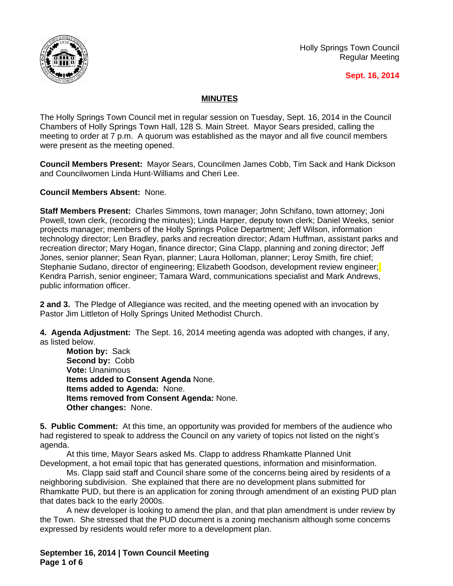

Holly Springs Town Council Regular Meeting

## **Sept. 16, 2014**

## **MINUTES**

The Holly Springs Town Council met in regular session on Tuesday, Sept. 16, 2014 in the Council Chambers of Holly Springs Town Hall, 128 S. Main Street. Mayor Sears presided, calling the meeting to order at 7 p.m. A quorum was established as the mayor and all five council members were present as the meeting opened.

**Council Members Present:** Mayor Sears, Councilmen James Cobb, Tim Sack and Hank Dickson and Councilwomen Linda Hunt-Williams and Cheri Lee.

**Council Members Absent:** None.

**Staff Members Present:** Charles Simmons, town manager; John Schifano, town attorney; Joni Powell, town clerk, (recording the minutes); Linda Harper, deputy town clerk; Daniel Weeks, senior projects manager; members of the Holly Springs Police Department; Jeff Wilson, information technology director; Len Bradley, parks and recreation director; Adam Huffman, assistant parks and recreation director; Mary Hogan, finance director; Gina Clapp, planning and zoning director; Jeff Jones, senior planner; Sean Ryan, planner; Laura Holloman, planner; Leroy Smith, fire chief; Stephanie Sudano, director of engineering; Elizabeth Goodson, development review engineer; Kendra Parrish, senior engineer; Tamara Ward, communications specialist and Mark Andrews, public information officer.

**2 and 3.** The Pledge of Allegiance was recited, and the meeting opened with an invocation by Pastor Jim Littleton of Holly Springs United Methodist Church.

**4. Agenda Adjustment:** The Sept. 16, 2014 meeting agenda was adopted with changes, if any, as listed below.

**Motion by:** Sack **Second by:** Cobb **Vote:** Unanimous **Items added to Consent Agenda** None. **Items added to Agenda:** None. **Items removed from Consent Agenda:** None. **Other changes:** None.

**5. Public Comment:** At this time, an opportunity was provided for members of the audience who had registered to speak to address the Council on any variety of topics not listed on the night's agenda.

At this time, Mayor Sears asked Ms. Clapp to address Rhamkatte Planned Unit Development, a hot email topic that has generated questions, information and misinformation.

Ms. Clapp said staff and Council share some of the concerns being aired by residents of a neighboring subdivision. She explained that there are no development plans submitted for Rhamkatte PUD, but there is an application for zoning through amendment of an existing PUD plan that dates back to the early 2000s.

A new developer is looking to amend the plan, and that plan amendment is under review by the Town. She stressed that the PUD document is a zoning mechanism although some concerns expressed by residents would refer more to a development plan.

**September 16, 2014 | Town Council Meeting Page 1 of 6**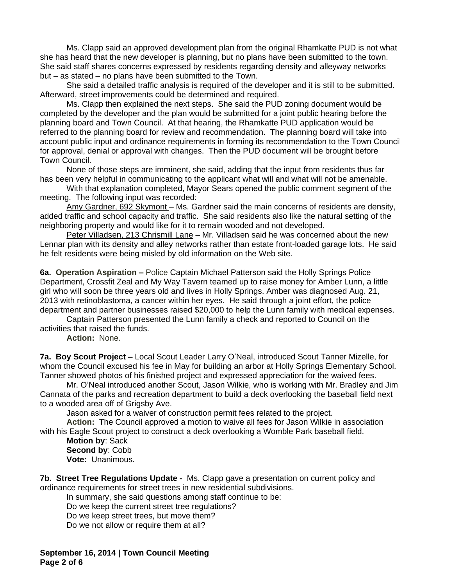Ms. Clapp said an approved development plan from the original Rhamkatte PUD is not what she has heard that the new developer is planning, but no plans have been submitted to the town. She said staff shares concerns expressed by residents regarding density and alleyway networks but – as stated – no plans have been submitted to the Town.

She said a detailed traffic analysis is required of the developer and it is still to be submitted. Afterward, street improvements could be determined and required.

Ms. Clapp then explained the next steps. She said the PUD zoning document would be completed by the developer and the plan would be submitted for a joint public hearing before the planning board and Town Council. At that hearing, the Rhamkatte PUD application would be referred to the planning board for review and recommendation. The planning board will take into account public input and ordinance requirements in forming its recommendation to the Town Council for approval, denial or approval with changes. Then the PUD document will be brought before Town Council.

None of those steps are imminent, she said, adding that the input from residents thus far has been very helpful in communicating to the applicant what will and what will not be amenable.

With that explanation completed, Mayor Sears opened the public comment segment of the meeting. The following input was recorded:

Amy Gardner, 692 Skymont - Ms. Gardner said the main concerns of residents are density, added traffic and school capacity and traffic. She said residents also like the natural setting of the neighboring property and would like for it to remain wooded and not developed.

Peter Villadsen, 213 Chrismill Lane – Mr. Villadsen said he was concerned about the new Lennar plan with its density and alley networks rather than estate front-loaded garage lots. He said he felt residents were being misled by old information on the Web site.

**6a. Operation Aspiration -** Police Captain Michael Patterson said the Holly Springs Police Department, Crossfit Zeal and My Way Tavern teamed up to raise money for Amber Lunn, a little girl who will soon be three years old and lives in Holly Springs. Amber was diagnosed Aug. 21, 2013 with retinoblastoma, a cancer within her eyes. He said through a joint effort, the police department and partner businesses raised \$20,000 to help the Lunn family with medical expenses.

Captain Patterson presented the Lunn family a check and reported to Council on the activities that raised the funds.

**Action:** None.

**7a. Boy Scout Project –** Local Scout Leader Larry O'Neal, introduced Scout Tanner Mizelle, for whom the Council excused his fee in May for building an arbor at Holly Springs Elementary School. Tanner showed photos of his finished project and expressed appreciation for the waived fees.

Mr. O'Neal introduced another Scout, Jason Wilkie, who is working with Mr. Bradley and Jim Cannata of the parks and recreation department to build a deck overlooking the baseball field next to a wooded area off of Grigsby Ave.

Jason asked for a waiver of construction permit fees related to the project.

**Action:** The Council approved a motion to waive all fees for Jason Wilkie in association with his Eagle Scout project to construct a deck overlooking a Womble Park baseball field.

**Motion by**: Sack **Second by**: Cobb **Vote:** Unanimous.

**7b. Street Tree Regulations Update -** Ms. Clapp gave a presentation on current policy and ordinance requirements for street trees in new residential subdivisions.

In summary, she said questions among staff continue to be:

Do we keep the current street tree regulations?

Do we keep street trees, but move them?

Do we not allow or require them at all?

**September 16, 2014 | Town Council Meeting Page 2 of 6**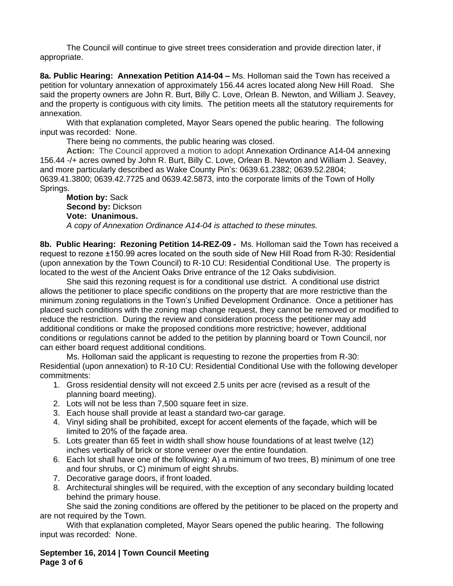The Council will continue to give street trees consideration and provide direction later, if appropriate.

**8a. Public Hearing: Annexation Petition A14-04 – Ms. Holloman said the Town has received a** petition for voluntary annexation of approximately 156.44 acres located along New Hill Road. She said the property owners are John R. Burt, Billy C. Love, Orlean B. Newton, and William J. Seavey, and the property is contiguous with city limits. The petition meets all the statutory requirements for annexation.

With that explanation completed, Mayor Sears opened the public hearing. The following input was recorded: None.

There being no comments, the public hearing was closed.

**Action:** The Council approved a motion to adopt Annexation Ordinance A14-04 annexing 156.44 -/+ acres owned by John R. Burt, Billy C. Love, Orlean B. Newton and William J. Seavey, and more particularly described as Wake County Pin's: 0639.61.2382; 0639.52.2804; 0639.41.3800; 0639.42.7725 and 0639.42.5873, into the corporate limits of the Town of Holly Springs.

## **Motion by:** Sack **Second by:** Dickson **Vote: Unanimous.** *A copy of Annexation Ordinance A14-04 is attached to these minutes.*

**8b. Public Hearing: Rezoning Petition 14-REZ-09 -** Ms. Holloman said the Town has received a request to rezone ±150.99 acres located on the south side of New Hill Road from R-30: Residential (upon annexation by the Town Council) to R-10 CU: Residential Conditional Use. The property is located to the west of the Ancient Oaks Drive entrance of the 12 Oaks subdivision.

She said this rezoning request is for a conditional use district. A conditional use district allows the petitioner to place specific conditions on the property that are more restrictive than the minimum zoning regulations in the Town's Unified Development Ordinance. Once a petitioner has placed such conditions with the zoning map change request, they cannot be removed or modified to reduce the restriction. During the review and consideration process the petitioner may add additional conditions or make the proposed conditions more restrictive; however, additional conditions or regulations cannot be added to the petition by planning board or Town Council, nor can either board request additional conditions.

Ms. Holloman said the applicant is requesting to rezone the properties from R-30: Residential (upon annexation) to R-10 CU: Residential Conditional Use with the following developer commitments:

- 1. Gross residential density will not exceed 2.5 units per acre (revised as a result of the planning board meeting).
- 2. Lots will not be less than 7,500 square feet in size.
- 3. Each house shall provide at least a standard two-car garage.
- 4. Vinyl siding shall be prohibited, except for accent elements of the façade, which will be limited to 20% of the façade area.
- 5. Lots greater than 65 feet in width shall show house foundations of at least twelve (12) inches vertically of brick or stone veneer over the entire foundation.
- 6. Each lot shall have one of the following: A) a minimum of two trees, B) minimum of one tree and four shrubs, or C) minimum of eight shrubs.
- 7. Decorative garage doors, if front loaded.
- 8. Architectural shingles will be required, with the exception of any secondary building located behind the primary house.

She said the zoning conditions are offered by the petitioner to be placed on the property and are not required by the Town.

With that explanation completed, Mayor Sears opened the public hearing. The following input was recorded: None.

**September 16, 2014 | Town Council Meeting Page 3 of 6**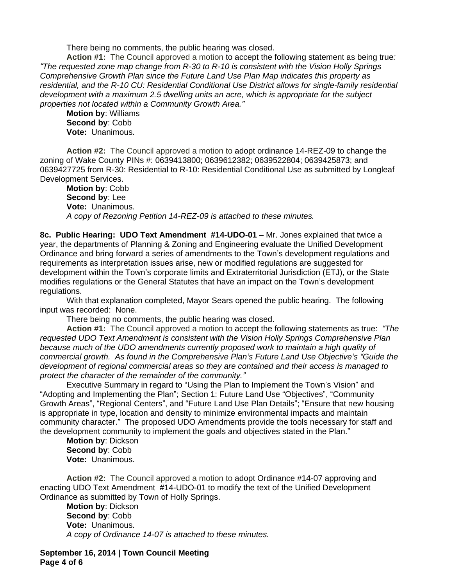There being no comments, the public hearing was closed.

**Action #1:** The Council approved a motion to accept the following statement as being true*: "The requested zone map change from R-30 to R-10 is consistent with the Vision Holly Springs Comprehensive Growth Plan since the Future Land Use Plan Map indicates this property as residential, and the R-10 CU: Residential Conditional Use District allows for single-family residential development with a maximum 2.5 dwelling units an acre, which is appropriate for the subject properties not located within a Community Growth Area."*

**Motion by**: Williams **Second by**: Cobb **Vote:** Unanimous.

**Action #2:** The Council approved a motion to adopt ordinance 14-REZ-09 to change the zoning of Wake County PINs #: 0639413800; 0639612382; 0639522804; 0639425873; and 0639427725 from R-30: Residential to R-10: Residential Conditional Use as submitted by Longleaf Development Services.

**Motion by**: Cobb **Second by**: Lee **Vote:** Unanimous. *A copy of Rezoning Petition 14-REZ-09 is attached to these minutes.*

**8c. Public Hearing: UDO Text Amendment #14-UDO-01 –** Mr. Jones explained that twice a year, the departments of Planning & Zoning and Engineering evaluate the Unified Development Ordinance and bring forward a series of amendments to the Town's development regulations and requirements as interpretation issues arise, new or modified regulations are suggested for development within the Town's corporate limits and Extraterritorial Jurisdiction (ETJ), or the State modifies regulations or the General Statutes that have an impact on the Town's development regulations.

With that explanation completed, Mayor Sears opened the public hearing. The following input was recorded: None.

There being no comments, the public hearing was closed.

**Action #1:** The Council approved a motion to accept the following statements as true: *"The requested UDO Text Amendment is consistent with the Vision Holly Springs Comprehensive Plan because much of the UDO amendments currently proposed work to maintain a high quality of commercial growth. As found in the Comprehensive Plan's Future Land Use Objective's "Guide the development of regional commercial areas so they are contained and their access is managed to protect the character of the remainder of the community."*

Executive Summary in regard to "Using the Plan to Implement the Town's Vision" and "Adopting and Implementing the Plan"; Section 1: Future Land Use "Objectives", "Community Growth Areas", "Regional Centers", and "Future Land Use Plan Details"; "Ensure that new housing is appropriate in type, location and density to minimize environmental impacts and maintain community character." The proposed UDO Amendments provide the tools necessary for staff and the development community to implement the goals and objectives stated in the Plan."

**Motion by**: Dickson **Second by**: Cobb **Vote:** Unanimous.

**Action #2:** The Council approved a motion to adopt Ordinance #14-07 approving and enacting UDO Text Amendment #14-UDO-01 to modify the text of the Unified Development Ordinance as submitted by Town of Holly Springs.

**Motion by**: Dickson **Second by**: Cobb **Vote:** Unanimous. *A copy of Ordinance 14-07 is attached to these minutes.*

**September 16, 2014 | Town Council Meeting Page 4 of 6**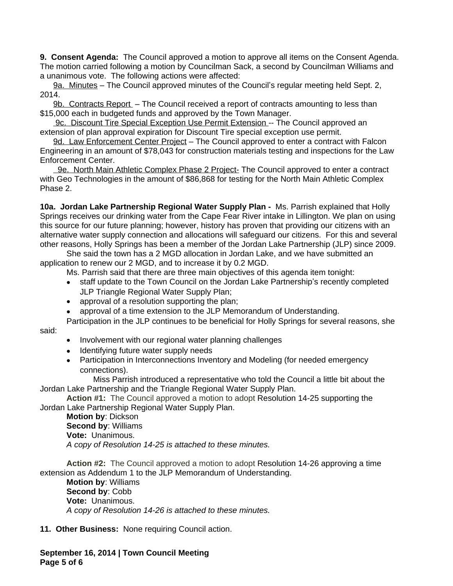**9. Consent Agenda:** The Council approved a motion to approve all items on the Consent Agenda. The motion carried following a motion by Councilman Sack, a second by Councilman Williams and a unanimous vote. The following actions were affected:

9a. Minutes – The Council approved minutes of the Council's regular meeting held Sept. 2, 2014.

9b. Contracts Report – The Council received a report of contracts amounting to less than \$15,000 each in budgeted funds and approved by the Town Manager.

9c. Discount Tire Special Exception Use Permit Extension -- The Council approved an extension of plan approval expiration for Discount Tire special exception use permit.

9d. Law Enforcement Center Project - The Council approved to enter a contract with Falcon Engineering in an amount of \$78,043 for construction materials testing and inspections for the Law Enforcement Center.

 9e. North Main Athletic Complex Phase 2 Project- The Council approved to enter a contract with Geo Technologies in the amount of \$86,868 for testing for the North Main Athletic Complex Phase 2.

**10a. Jordan Lake Partnership Regional Water Supply Plan -** Ms. Parrish explained that Holly Springs receives our drinking water from the Cape Fear River intake in Lillington. We plan on using this source for our future planning; however, history has proven that providing our citizens with an alternative water supply connection and allocations will safeguard our citizens. For this and several other reasons, Holly Springs has been a member of the Jordan Lake Partnership (JLP) since 2009.

She said the town has a 2 MGD allocation in Jordan Lake, and we have submitted an application to renew our 2 MGD, and to increase it by 0.2 MGD.

Ms. Parrish said that there are three main objectives of this agenda item tonight:

- staff update to the Town Council on the Jordan Lake Partnership's recently completed JLP Triangle Regional Water Supply Plan;
- approval of a resolution supporting the plan;
- approval of a time extension to the JLP Memorandum of Understanding.

Participation in the JLP continues to be beneficial for Holly Springs for several reasons, she said:

- Involvement with our regional water planning challenges
- Identifying future water supply needs
- Participation in Interconnections Inventory and Modeling (for needed emergency connections).

Miss Parrish introduced a representative who told the Council a little bit about the Jordan Lake Partnership and the Triangle Regional Water Supply Plan.

**Action #1:** The Council approved a motion to adopt Resolution 14-25 supporting the Jordan Lake Partnership Regional Water Supply Plan.

**Motion by**: Dickson **Second by**: Williams **Vote:** Unanimous. *A copy of Resolution 14-25 is attached to these minutes.*

**Action #2:** The Council approved a motion to adopt Resolution 14-26 approving a time extension as Addendum 1 to the JLP Memorandum of Understanding.

**Motion by**: Williams **Second by**: Cobb **Vote:** Unanimous. *A copy of Resolution 14-26 is attached to these minutes.*

**11. Other Business:** None requiring Council action.

**September 16, 2014 | Town Council Meeting Page 5 of 6**